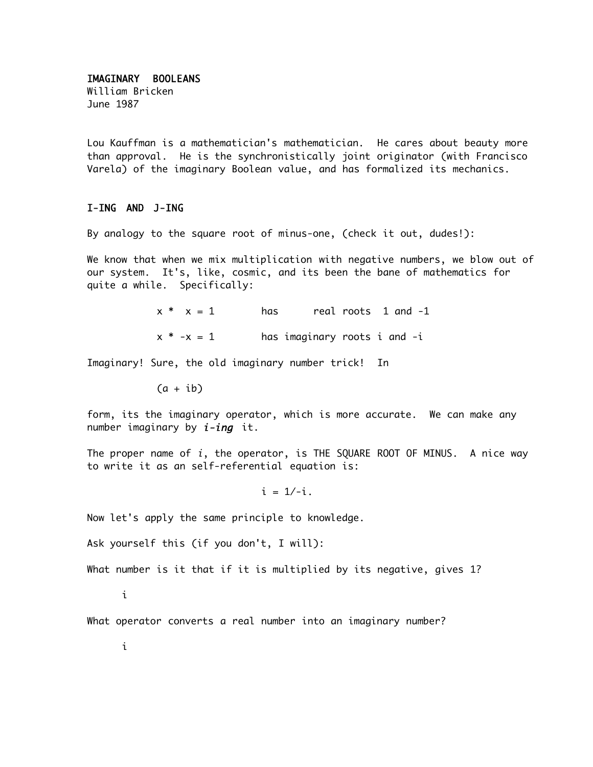## IMAGINARY BOOLEANS

William Bricken June 1987

Lou Kauffman is a mathematician's mathematician. He cares about beauty more than approval. He is the synchronistically joint originator (with Francisco Varela) of the imaginary Boolean value, and has formalized its mechanics.

## I-ING AND J-ING

By analogy to the square root of minus-one, (check it out, dudes!):

We know that when we mix multiplication with negative numbers, we blow out of our system. It's, like, cosmic, and its been the bane of mathematics for quite a while. Specifically:

> $x * x = 1$  has real roots 1 and -1  $x * -x = 1$  has imaginary roots i and  $-i$

Imaginary! Sure, the old imaginary number trick! In

 $(a + ib)$ 

form, its the imaginary operator, which is more accurate. We can make any number imaginary by  $i$ -ing it.

The proper name of i, the operator, is THE SQUARE ROOT OF MINUS. A nice way to write it as an self-referential equation is:

 $i = 1/-i$ .

Now let's apply the same principle to knowledge.

Ask yourself this (if you don't, I will):

What number is it that if it is multiplied by its negative, gives 1?

i

What operator converts a real number into an imaginary number?

i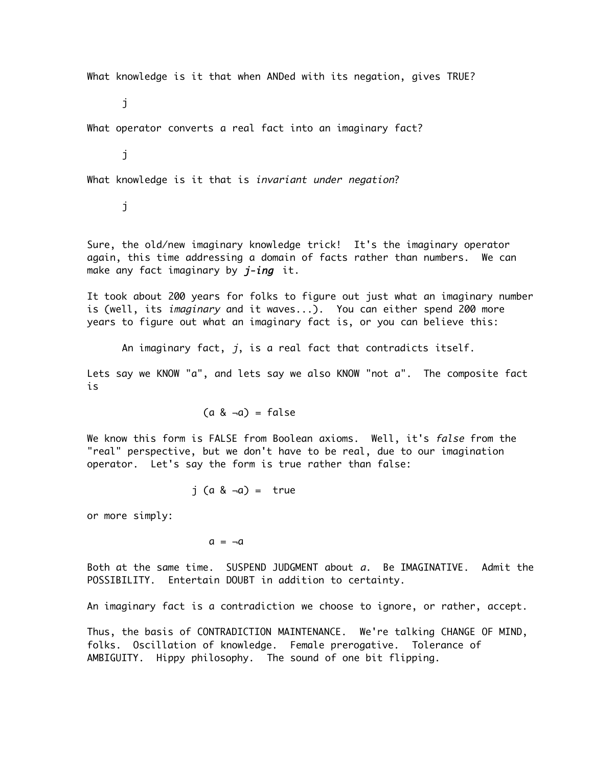What knowledge is it that when ANDed with its negation, gives TRUE?

j

What operator converts a real fact into an imaginary fact?

j

What knowledge is it that is *invariant under negation*?

j

Sure, the old/new imaginary knowledge trick! It's the imaginary operator again, this time addressing a domain of facts rather than numbers. We can make any fact imaginary by  $j$ -ing it.

It took about 200 years for folks to figure out just what an imaginary number is (well, its *imaginary* and it waves...). You can either spend 200 more years to figure out what an imaginary fact is, or you can believe this:

An imaginary fact, j, is a real fact that contradicts itself.

Lets say we KNOW "a", and lets say we also KNOW "not a". The composite fact is

 $(a 8 - a) = false$ 

We know this form is FALSE from Boolean axioms. Well, it's *false* from the "real" perspective, but we don't have to be real, due to our imagination operator. Let's say the form is true rather than false:

 $i$  (a &  $\neg a$ ) = true

or more simply:

 $a = -a$ 

Both at the same time. SUSPEND JUDGMENT about a. Be IMAGINATIVE. Admit the POSSIBILITY. Entertain DOUBT in addition to certainty.

An imaginary fact is a contradiction we choose to ignore, or rather, accept.

Thus, the basis of CONTRADICTION MAINTENANCE. We're talking CHANGE OF MIND, folks. Oscillation of knowledge. Female prerogative. Tolerance of AMBIGUITY. Hippy philosophy. The sound of one bit flipping.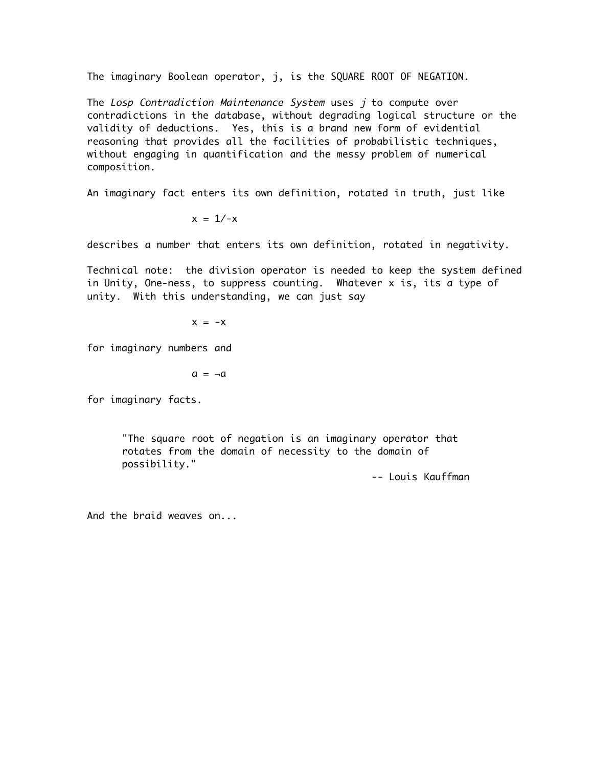The imaginary Boolean operator, j, is the SQUARE ROOT OF NEGATION.

The Losp Contradiction Maintenance System uses j to compute over contradictions in the database, without degrading logical structure or the validity of deductions. Yes, this is a brand new form of evidential reasoning that provides all the facilities of probabilistic techniques, without engaging in quantification and the messy problem of numerical composition.

An imaginary fact enters its own definition, rotated in truth, just like

$$
x = 1/-x
$$

describes a number that enters its own definition, rotated in negativity.

Technical note: the division operator is needed to keep the system defined in Unity, One-ness, to suppress counting. Whatever x is, its a type of unity. With this understanding, we can just say

$$
x = -x
$$

for imaginary numbers and

$$
a = \neg a
$$

for imaginary facts.

"The square root of negation is an imaginary operator that rotates from the domain of necessity to the domain of possibility."

-- Louis Kauffman

And the braid weaves on...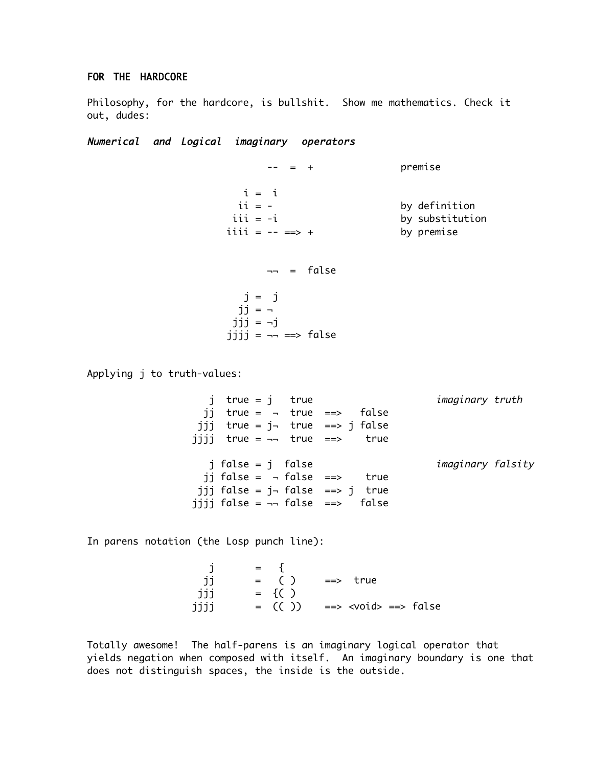## FOR THE HARDCORE

Philosophy, for the hardcore, is bullshit. Show me mathematics. Check it out, dudes:

Numerical and Logical imaginary operators

 $- =$   $+$  premise  $i = i$  ii = - by definition iii = -i by substitution iiii =  $-- ==> +$  by premise  $\neg$  = false j = j  $ji =$  $jjj = -j$  $jjjj = =$  false Applying j to truth-values: j true = j true imaginary truth jj true =  $\neg$  true ==> false jjj true = j¬ true ==> j false

> j false = j false imaginary falsity jj false =  $\neg$  false ==> true jjj false =  $j$ ¬ false ==>  $j$  true jijj false =  $\neg\neg$  false ==> false

In parens notation (the Losp punch line):

 j = { jj = ( ) ==> true jjj = {( ) jjjj = (( )) ==> <void> ==> false

jijj true =  $\neg$  true ==> true

Totally awesome! The half-parens is an imaginary logical operator that yields negation when composed with itself. An imaginary boundary is one that does not distinguish spaces, the inside is the outside.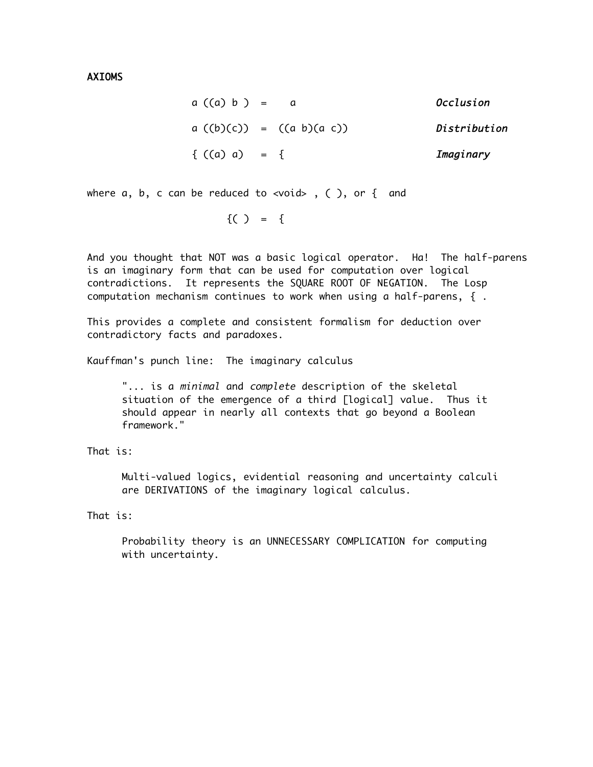AXIOMS

| $a((a) b) =$    |                            | Occlusion    |
|-----------------|----------------------------|--------------|
|                 | $a((b)(c)) = ((a b)(a c))$ | Distribution |
| { $((a) a) = {$ |                            | Imaginary    |

where  $a, b, c$  can be reduced to <void>, (), or { and

 $\{ ( ) = \{$ 

And you thought that NOT was a basic logical operator. Ha! The half-parens is an imaginary form that can be used for computation over logical contradictions. It represents the SQUARE ROOT OF NEGATION. The Losp computation mechanism continues to work when using a half-parens, { .

This provides a complete and consistent formalism for deduction over contradictory facts and paradoxes.

Kauffman's punch line: The imaginary calculus

"... is a minimal and complete description of the skeletal situation of the emergence of a third [logical] value. Thus it should appear in nearly all contexts that go beyond a Boolean framework."

That is:

Multi-valued logics, evidential reasoning and uncertainty calculi are DERIVATIONS of the imaginary logical calculus.

That is:

Probability theory is an UNNECESSARY COMPLICATION for computing with uncertainty.